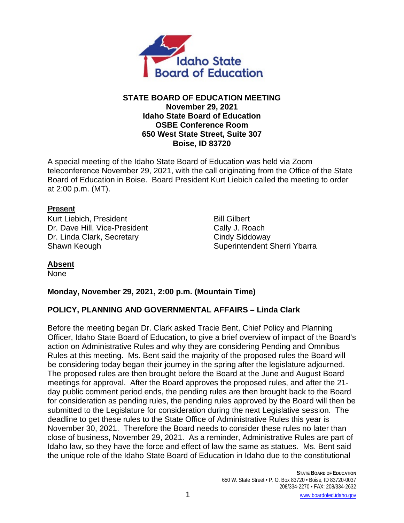

### **STATE BOARD OF EDUCATION MEETING November 29, 2021 Idaho State Board of Education OSBE Conference Room 650 West State Street, Suite 307 Boise, ID 83720**

A special meeting of the Idaho State Board of Education was held via Zoom teleconference November 29, 2021, with the call originating from the Office of the State Board of Education in Boise. Board President Kurt Liebich called the meeting to order at 2:00 p.m. (MT).

### Present

Kurt Liebich, President Bill Gilbert Dr. Dave Hill, Vice-President Cally J. Roach Dr. Linda Clark, Secretary Cindy Siddoway

Shawn Keough Shawn Keough Shawn Keough Shawn Superintendent Sherri Ybarra

## **Absent**

None

## **Monday, November 29, 2021, 2:00 p.m. (Mountain Time)**

# **POLICY, PLANNING AND GOVERNMENTAL AFFAIRS – Linda Clark**

Before the meeting began Dr. Clark asked Tracie Bent, Chief Policy and Planning Officer, Idaho State Board of Education, to give a brief overview of impact of the Board's action on Administrative Rules and why they are considering Pending and Omnibus Rules at this meeting. Ms. Bent said the majority of the proposed rules the Board will be considering today began their journey in the spring after the legislature adjourned. The proposed rules are then brought before the Board at the June and August Board meetings for approval. After the Board approves the proposed rules, and after the 21 day public comment period ends, the pending rules are then brought back to the Board for consideration as pending rules, the pending rules approved by the Board will then be submitted to the Legislature for consideration during the next Legislative session. The deadline to get these rules to the State Office of Administrative Rules this year is November 30, 2021. Therefore the Board needs to consider these rules no later than close of business, November 29, 2021. As a reminder, Administrative Rules are part of Idaho law, so they have the force and effect of law the same as statues. Ms. Bent said the unique role of the Idaho State Board of Education in Idaho due to the constitutional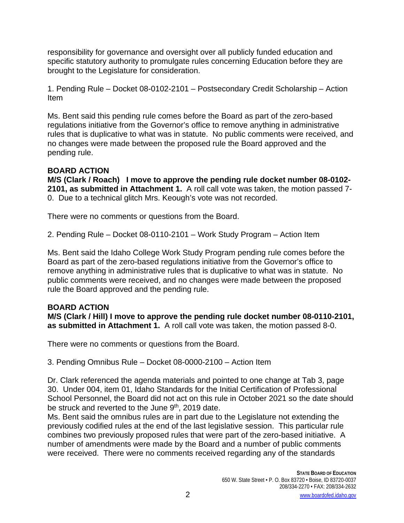responsibility for governance and oversight over all publicly funded education and specific statutory authority to promulgate rules concerning Education before they are brought to the Legislature for consideration.

1. Pending Rule – Docket 08-0102-2101 – Postsecondary Credit Scholarship – Action Item

Ms. Bent said this pending rule comes before the Board as part of the zero-based regulations initiative from the Governor's office to remove anything in administrative rules that is duplicative to what was in statute. No public comments were received, and no changes were made between the proposed rule the Board approved and the pending rule.

## **BOARD ACTION**

**M/S (Clark / Roach) I move to approve the pending rule docket number 08-0102- 2101, as submitted in Attachment 1.** A roll call vote was taken, the motion passed 7- 0. Due to a technical glitch Mrs. Keough's vote was not recorded.

There were no comments or questions from the Board.

2. Pending Rule – Docket 08-0110-2101 – Work Study Program – Action Item

Ms. Bent said the Idaho College Work Study Program pending rule comes before the Board as part of the zero-based regulations initiative from the Governor's office to remove anything in administrative rules that is duplicative to what was in statute. No public comments were received, and no changes were made between the proposed rule the Board approved and the pending rule.

## **BOARD ACTION**

**M/S (Clark / Hill) I move to approve the pending rule docket number 08-0110-2101, as submitted in Attachment 1.** A roll call vote was taken, the motion passed 8-0.

There were no comments or questions from the Board.

3. Pending Omnibus Rule – Docket 08-0000-2100 – Action Item

Dr. Clark referenced the agenda materials and pointed to one change at Tab 3, page 30. Under 004, item 01, Idaho Standards for the Initial Certification of Professional School Personnel, the Board did not act on this rule in October 2021 so the date should be struck and reverted to the June 9<sup>th</sup>, 2019 date.

Ms. Bent said the omnibus rules are in part due to the Legislature not extending the previously codified rules at the end of the last legislative session. This particular rule combines two previously proposed rules that were part of the zero-based initiative. A number of amendments were made by the Board and a number of public comments were received. There were no comments received regarding any of the standards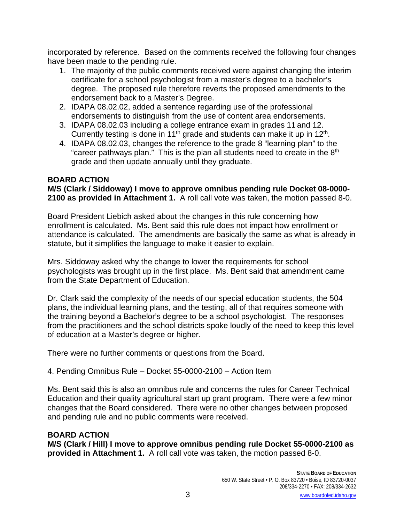incorporated by reference. Based on the comments received the following four changes have been made to the pending rule.

- 1. The majority of the public comments received were against changing the interim certificate for a school psychologist from a master's degree to a bachelor's degree. The proposed rule therefore reverts the proposed amendments to the endorsement back to a Master's Degree.
- 2. IDAPA 08.02.02, added a sentence regarding use of the professional endorsements to distinguish from the use of content area endorsements.
- 3. IDAPA 08.02.03 including a college entrance exam in grades 11 and 12. Currently testing is done in 11<sup>th</sup> grade and students can make it up in 12<sup>th</sup>.
- 4. IDAPA 08.02.03, changes the reference to the grade 8 "learning plan" to the "career pathways plan." This is the plan all students need to create in the  $8<sup>th</sup>$ grade and then update annually until they graduate.

### **BOARD ACTION**

**M/S (Clark / Siddoway) I move to approve omnibus pending rule Docket 08-0000- 2100 as provided in Attachment 1.** A roll call vote was taken, the motion passed 8-0.

Board President Liebich asked about the changes in this rule concerning how enrollment is calculated. Ms. Bent said this rule does not impact how enrollment or attendance is calculated. The amendments are basically the same as what is already in statute, but it simplifies the language to make it easier to explain.

Mrs. Siddoway asked why the change to lower the requirements for school psychologists was brought up in the first place. Ms. Bent said that amendment came from the State Department of Education.

Dr. Clark said the complexity of the needs of our special education students, the 504 plans, the individual learning plans, and the testing, all of that requires someone with the training beyond a Bachelor's degree to be a school psychologist. The responses from the practitioners and the school districts spoke loudly of the need to keep this level of education at a Master's degree or higher.

There were no further comments or questions from the Board.

4. Pending Omnibus Rule – Docket 55-0000-2100 – Action Item

Ms. Bent said this is also an omnibus rule and concerns the rules for Career Technical Education and their quality agricultural start up grant program. There were a few minor changes that the Board considered. There were no other changes between proposed and pending rule and no public comments were received.

## **BOARD ACTION**

**M/S (Clark / Hill) I move to approve omnibus pending rule Docket 55-0000-2100 as provided in Attachment 1.** A roll call vote was taken, the motion passed 8-0.